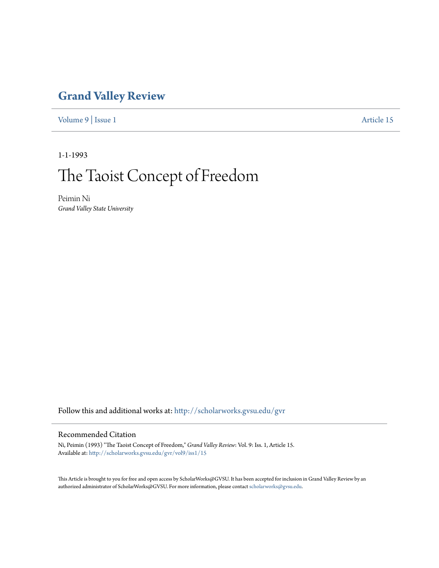## **[Grand Valley Review](http://scholarworks.gvsu.edu/gvr?utm_source=scholarworks.gvsu.edu%2Fgvr%2Fvol9%2Fiss1%2F15&utm_medium=PDF&utm_campaign=PDFCoverPages)**

[Volume 9](http://scholarworks.gvsu.edu/gvr/vol9?utm_source=scholarworks.gvsu.edu%2Fgvr%2Fvol9%2Fiss1%2F15&utm_medium=PDF&utm_campaign=PDFCoverPages) | [Issue 1](http://scholarworks.gvsu.edu/gvr/vol9/iss1?utm_source=scholarworks.gvsu.edu%2Fgvr%2Fvol9%2Fiss1%2F15&utm_medium=PDF&utm_campaign=PDFCoverPages) [Article 15](http://scholarworks.gvsu.edu/gvr/vol9/iss1/15?utm_source=scholarworks.gvsu.edu%2Fgvr%2Fvol9%2Fiss1%2F15&utm_medium=PDF&utm_campaign=PDFCoverPages)

1-1-1993

# The Taoist Concept of Freedom

Peimin Ni *Grand Valley State University*

Follow this and additional works at: [http://scholarworks.gvsu.edu/gvr](http://scholarworks.gvsu.edu/gvr?utm_source=scholarworks.gvsu.edu%2Fgvr%2Fvol9%2Fiss1%2F15&utm_medium=PDF&utm_campaign=PDFCoverPages)

#### Recommended Citation

Ni, Peimin (1993) "The Taoist Concept of Freedom," *Grand Valley Review*: Vol. 9: Iss. 1, Article 15. Available at: [http://scholarworks.gvsu.edu/gvr/vol9/iss1/15](http://scholarworks.gvsu.edu/gvr/vol9/iss1/15?utm_source=scholarworks.gvsu.edu%2Fgvr%2Fvol9%2Fiss1%2F15&utm_medium=PDF&utm_campaign=PDFCoverPages)

This Article is brought to you for free and open access by ScholarWorks@GVSU. It has been accepted for inclusion in Grand Valley Review by an authorized administrator of ScholarWorks@GVSU. For more information, please contact [scholarworks@gvsu.edu.](mailto:scholarworks@gvsu.edu)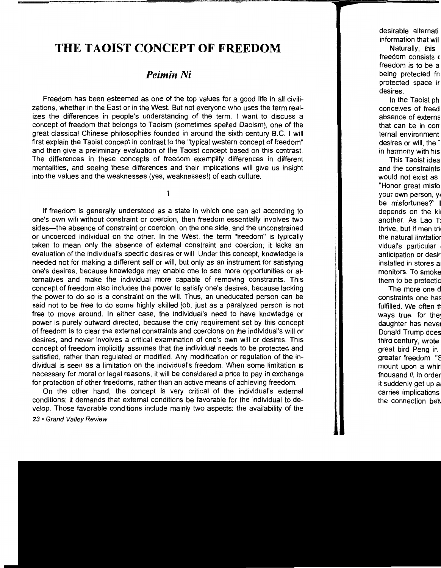### **THE TAOIST CONCEPT OF FREEDOM**

#### *Peimin Ni*

Freedom has been esteemed as one of the top values for a good life in all civilizations, whether in the East or in the West. But not everyone who uses the term realizes the differences in people's understanding of the term. I want to discuss a concept of freedom that belongs to Taoism (sometimes spelled Daoism), one of the great classical Chinese philosophies founded in around the sixth century B.C. I will first explain the Taoist concept in contrast to the "typical western concept of freedom" and then give a preliminary evaluation of the Taoist concept based on this contrast. The differences in these concepts of freedom exemplify differences in different mentalities, and seeing these differences and their implications will give us insight into the values and the weaknesses (yes, weaknesses!) of each culture.

1

If freedom is generally understood as a state in which one can act according to one's own will without constraint or coercion, then freedom essentially involves two sides-the absence of constraint or coercion, on the one side, and the unconstrained or uncoerced individual on the other. In the West, the term "freedom" is typically taken to mean only the absence of external constraint and coercion; it lacks an evaluation of the individual's specific desires or will. Under this concept, knowledge is needed not for making a different self or will, but only as an instrument for satisfying one's desires, because knowledge may enable one to see more opportunities or alternatives and make the individual more capable of removing constraints. This concept of freedom also includes the power to satisfy one's desires, because lacking the power to do so is a constraint on the will. Thus, an uneducated person can be said not to be free to do some highly skilled job, just as a paralyzed person is not free to move around. In either case, the individual's need to have knowledge or power is purely outward directed, because the only requirement set by this concept of freedom is to clear the external constraints and coercions on the individual's will or desires, and never involves a critical examination of one's own will or desires. This concept of freedom implicitly assumes that the individual needs to be protected and satisfied, rather than regulated or modified. Any modification or regulation of the individual is seen as a limitation on the individual's freedom. When some limitation is necessary for moral or legal reasons, it will be considered a price to pay in exchange for protection of other freedoms, rather than an active means of achieving freedom.

On the other hand, the concept is very critical of the individual's external conditions; it demands that external conditions be favorable for the individual to develop. Those favorable conditions include mainly two aspects: the availability of the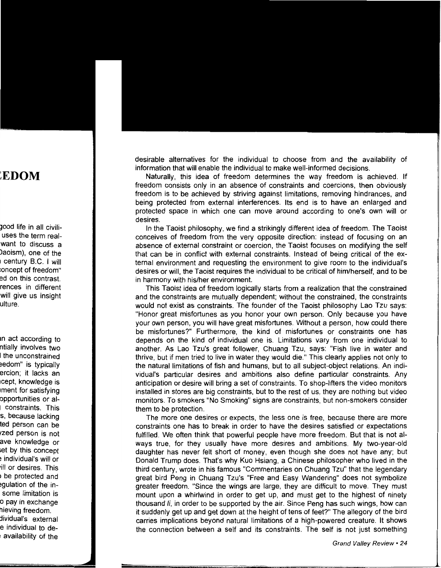desirable alternatives for the individual to choose from and the availability of information that will enable the individual to make well-informed decisions.

Naturally, this idea of freedom determines the way freedom is achieved. If freedom consists only in an absence of constraints and coercions, then obviously freedom is to be achieved by striving against limitations, removing hindrances, and being protected from external interferences. Its end is to have an enlarged and protected space in which one can move around according to one's own will or desires.

In the Taoist philosophy, we find a strikingly different idea of freedom. The Taoist conceives of freedom from the very opposite direction: instead of focusing on an absence of external constraint or coercion, the Taoist focuses on modifying the self that can be in conflict with external constraints. Instead of being critical of the external environment and requesting the environment to give room to the individual's desires or will, the Taoist requires the individual to be critical of him/herself, and to be in harmony with his/her environment.

This Taoist idea of freedom logically starts from a realization that the constrained and the constraints are mutually dependent; without the constrained, the constraints would not exist as constraints. The founder of the Taoist philosophy Lao Tzu says: "Honor great misfortunes as you honor your own person. Only because you have your own person, you will have great misfortunes. Without a person, how could there be misfortunes?" Furthermore, the kind of misfortunes or constraints one has depends on the kind of individual one is. Limitations vary from one individual to another. As Lao Tzu's great follower, Chuang Tzu, says: "Fish live in water and thrive, but if men tried to live in water they would die." This clearly applies not only to the natural limitations of fish and humans, but to all subject-object relations. An individual's particular desires and ambitions also define particular constraints. Any anticipation or desire will bring a set of constraints. To shop-lifters the video monitors installed in stores are big constraints, but to the rest of us, they are nothing but video monitors. To smokers "No Smoking" signs are constraints, but non-smokers consider them to be protection.

The more one desires or expects, the less one is free, because there are more constraints one has to break in order to have the desires satisfied or expectations fulfilled. We often think that powerful people have more freedom. But that is not always true, for they usually have more desires and ambitions. My two-year-old daughter has never felt short of money, even though she does not have any; but Donald Trump does. That's why Kuo Hsiang, a Chinese philosopher who lived in the third century, wrote in his famous "Commentaries on Chuang Tzu" that the legendary great bird Peng in Chuang Tzu's "Free and Easy Wandering" does not symbolize greater freedom. "Since the wings are large, they are difficult to move. They must mount upon a whirlwind in order to get up, and must get to the highest of ninety thousand li, in order to be supported by the air. Since Peng has such wings, how can it suddenly get up and get down at the height of tens of feet?" The allegory of the bird carries implications beyond natural limitations of a high-powered creature. It shows the connection between a self and its constraints. The self is not just something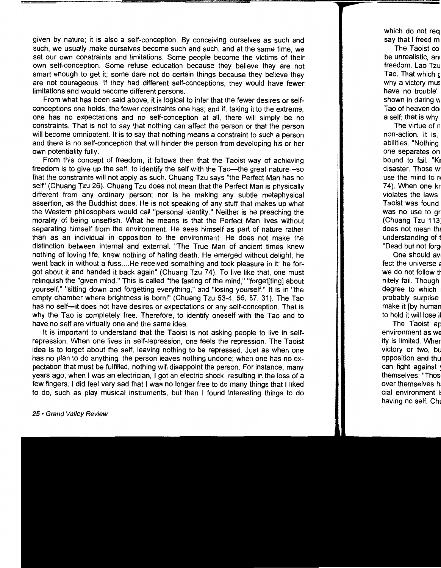given by nature; it is also a self-conception. By conceiving ourselves as such and such, we usually make ourselves become such and such, and at the same time, we set our own constraints and limitations. Some people become the victims of their own self-conception. Some refuse education because they believe they are not smart enough to get it; some dare not do certain things because they believe they are not courageous. If they had different self-conceptions, they would have fewer limitations and would become different persons.

From what has been said above, it is logical to infer that the fewer desires or selfconceptions one holds, the fewer constraints one has; and if, taking it to the extreme, one has no expectations and no self-conception at all, there will simply be no constraints. That is not to say that nothing can affect the person or that the person will become omnipotent. It is to say that nothing means a constraint to such a person and there is no self-conception that will hinder the person from developing his or her own potentiality fully.

From this concept of freedom, it follows then that the Taoist way of achieving freedom is to give up the self, to identify the self with the Tao-the great nature-so that the constraints will not apply as such. Chuang Tzu says "the Perfect Man has no self' (Chuang Tzu 26). Chuang Tzu does not mean that the Perfect Man is physically different from any ordinary person; nor is he making any subtle metaphysical assertion, as the Buddhist does. He is not speaking of any stuff that makes up what the Western philosophers would call "personal identity." Neither is he preaching the morality of being unselfish. What he means is that the Perfect Man lives without separating himself from the environment. He sees himself as part of nature rather than as an individual in opposition to the environment. He does not make the distinction between internal and external. "The True Man of ancient times knew nothing of loving life, knew nothing of hating death. He emerged without delight; he went back in without a fuss.... He received something and took pleasure in it; he forgot about it and handed it back again" (Chuang Tzu 74). To live like that, one must relinquish the "given mind." This is called "the fasting of the mind," "forget[ting] about yourself," "sitting down and forgetting everything," and "losing yourself." It is in "the empty chamber where brightness is born!" (Chuang Tzu 53-4, 56, 87, 31). The Tao has no self-it does not have desires or expectations or any self-conception. That is why the Tao is completely free. Therefore, to identify oneself with the Tao and to have no self are virtually one and the same idea.

It is important to understand that the Taoist is not asking people to live in selfrepression. When one lives in self-repression, one feels the repression. The Taoist idea is to forget about the self, leaving nothing to be repressed. Just as when one has no plan to do anything, the person leaves nothing undone; when one has no expectation that must be fulfilled, nothing will disappoint the person. For instance, many years ago, when I was an electrician, I got an electric shock resulting in the loss of a few fingers. I did feel very sad that I was no longer free to do many things that I liked to do, such as play musical instruments, but then I found interesting things to do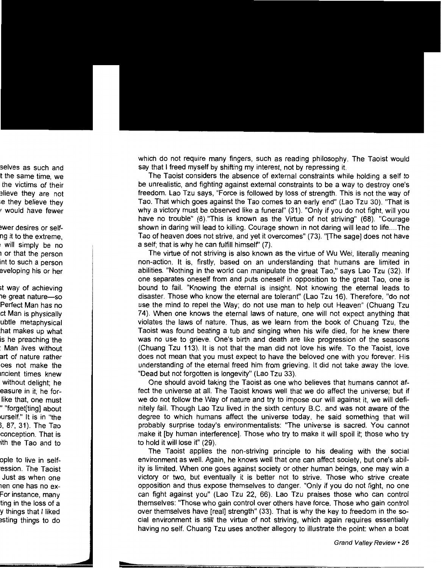which do not require many fingers, such as reading philosophy. The Taoist would say that I freed myself by shifting my interest, not by repressing it.

The Taoist considers the absence of external constraints while holding a self to be unrealistic, and fighting against external constraints to be a way to destroy one's freedom. Lao Tzu says, "Force is followed by loss of strength. This is not the way of Tao. That which goes against the Tao comes to an early end" (Lao Tzu 30). "That is why a victory must be observed like a funeral" (31 ). "Only if you do not fight, will you have no trouble" (8)."This is known as the Virtue of not striving" (68). "Courage shown in daring will lead to killing. Courage shown in not daring will lead to life....The Tao of heaven does not strive, and yet it overcomes" (73). "[The sage] does not have a self; that is why he can fulfill himself' (7).

The virtue of not striving is also known as the virtue of Wu Wei, literally meaning non-action. It is, firstly, based on an understanding that humans are limited in abilities. "Nothing in the world can manipulate the great Tao," says Lao Tzu (32). If one separates oneself from and puts oneself in opposition to the great Tao, one is bound to fail. "Knowing the eternal is insight. Not knowing the eternal leads to disaster. Those who know the eternal are tolerant" (Lao Tzu 16). Therefore, "do not use the mind to repel the Way; do not use man to help out Heaven" (Chuang Tzu 74). When one knows the eternal laws of nature, one will not expect anything that violates the laws of nature. Thus, as we learn from the book of Chuang Tzu, the Taoist was found beating a tub and singing when his wife died, for he knew there was no use to grieve. One's birth and death are like progression of the seasons (Chuang Tzu 113). It is not that the man did not love his wife. To the Taoist, love does not mean that you must expect to have the beloved one with you forever. His understanding of the eternal freed him from grieving. It did not take away the love. "Dead but not forgotten is longevity" (Lao Tzu 33).

One should avoid taking the Taoist as one who believes that humans cannot affect the universe at all. The Taoist knows well that we do affect the universe; but if we do not follow the Way of nature and try to impose our will against it, we will definitely fail. Though Lao Tzu lived in the sixth century B.C. and was not aware of the degree to which humans affect the universe today, he said something that will probably surprise today's environmentalists: 'The universe is sacred. You cannot make it [by human interference]. Those who try to make it will spoil it; those who try to hold it will lose it" (29).

The Taoist applies the non-striving principle to his dealing with the social environment as well. Again, he knows well that one can affect society, but one's ability is limited. When one goes against society or other human beings, one may win a victory or two, but eventually it is better not to strive. Those who strive create opposition and thus expose themselves to danger. "Only if you do not fight, no one can fight against you" (Lao Tzu 22, 66). Lao Tzu praises those who can control themselves: "Those who gain control over others have force. Those who gain control over themselves have [real] strength" (33). That is why the key to freedom in the social environment is still the virtue of not striving, which again requires essentially having no self. Chuang Tzu uses another allegory to illustrate the point: when a boat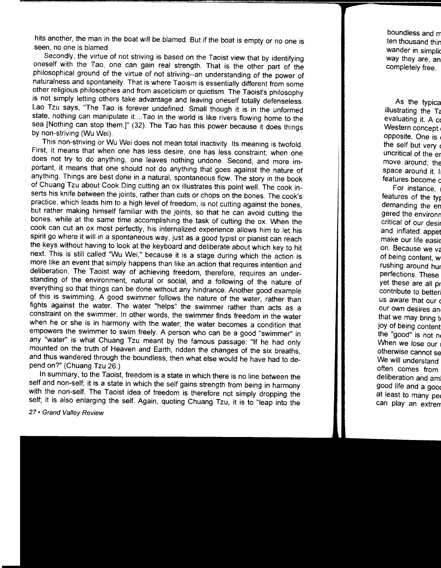hits another, the man in the boat will be blamed. But if the boat is empty or no one is seen, no one is blamed.

Secondly, the virtue of not striving is based on the Taoist view that by identifying oneself with the Tao, one can gain real strength. That is the other part of the philosophical ground of the virtue of not striving--an understanding of the power of naturalness and spontaneity. That is where Taoism is essentially different from some other religious philosophies and from asceticism or quietism. The Taoist's philosophy is not simply letting others take advantage and leaving oneself totally defenseless. Lao Tzu says, "The Tao is forever undefined. Small though it is in the unformed state, nothing can manipulate it. ... Tao in the world is like rivers flowing home to the sea [Nothing can stop them.]" (32). The Tao has this power because it does things by non-striving (Wu Wei).

This non-striving or Wu Wei does not mean total inactivity. Its meaning is twofold. First, it means that when one has less desire, one has less constraint; when one does not try to do anything, one leaves nothing undone. Second, and more important, it means that one should not do anything that goes against the nature of anything. Things are best done in a natural, spontaneous flow. The story in the book of Chuang Tzu about Cook Ding cutting an ox illustrates this point well. The cook inserts his knife between the joints, rather than cuts or chops on the bones. The cook's practice, which leads him to a high level of freedom, is not cutting against the bones, but rather making himself familiar with the joints, so that he can avoid cutting the bones, while at the same time accomplishing the task of cutting the ox. When the cook can cut an ox most perfectly, his internalized experience allows him to let his spirit go where it will in a spontaneous way, just as a good typist or pianist can reach the keys without having to look at the keyboard and deliberate about which key to hit next. This is still called "Wu Wei," because it is a stage during which the action is more like an event that simply happens than like an action that requires intention and deliberation. The Taoist way of achieving freedom, therefore, requires an understanding of the environment, natural or social, and a following of the nature of everything so that things can be done without any hindrance. Another good example of this is swimming. A good swimmer follows the nature of the water, rather than fights against the water. The water "helps" the swimmer rather than acts as a constraint on the swimmer. In other words, the swimmer finds freedom in the water when he or she is in harmony with the water; the water becomes a condition that empowers the swimmer to swim freely. A person who can be a good "swimmer" in any "water" is what Chuang Tzu meant by the famous passage: "If he had only mounted on the truth of Heaven and Earth, ridden the changes of the six breaths, and thus wandered through the boundless, then what else would he have had to depend on?" (Chuang Tzu 26.)

In summary, to the Taoist, freedom is a state in which there is no line between the self and non-self; it is a state in which the self gains strength from being in harmony with the non-self. The Taoist idea of freedom is therefore not simply dropping the self; it is also enlarging the self. Again, quoting Chuang Tzu, it is to "leap into the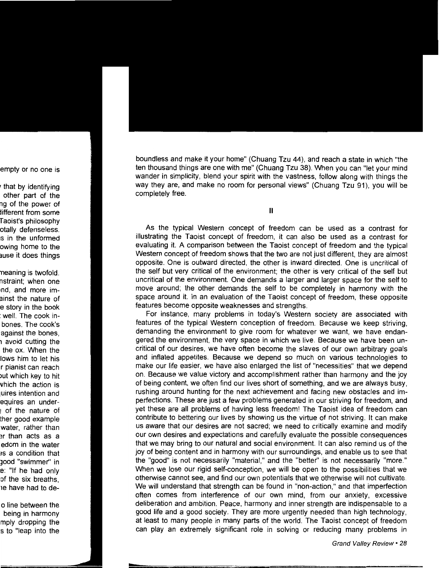boundless and make it your home" (Chuang Tzu 44), and reach a state in which "the ten thousand things are one with me" (Chuang Tzu 38). When you can "let your mind wander in simplicity, blend your spirit with the vastness, follow along with things the way they are, and make no room for personal views" (Chuang Tzu 91), you will be completely free.

II

As the typical Western concept of freedom can be used as a contrast for illustrating the Taoist concept of freedom, it can also be used as a contrast for evaluating it. A comparison between the Taoist concept of freedom and the typical Western concept of freedom shows that the two are not just different, they are almost opposite. One is outward directed, the other is inward directed. One is uncritical of the self but very critical of the environment; the other is very critical of the self but uncritical of the environment. One demands a larger and larger space for the self to move around; the other demands the self to be completely in harmony with the space around it. In an evaluation of the Taoist concept of freedom, these opposite features become opposite weaknesses and strengths.

For instance, many problems in today's Western society are associated with features of the typical Western conception of freedom. Because we keep striving, demanding the environment to give room for whatever we want, we have endangered the environment, the very space in which we live. Because we have been uncritical of our desires, we have often become the slaves of our own arbitrary goals and inflated appetites. Because we depend so much on various technologies to make our life easier, we have also enlarged the list of "necessities" that we depend on. Because we value victory and accomplishment rather than harmony and the joy of being content, we often find our lives short of something, and we are always busy, rushing around hunting for the next achievement and facing new obstacles and imperfections. These are just a few problems generated in our striving for freedom, and yet these are all problems of having less freedom! The Taoist idea of freedom can contribute to bettering our lives by showing us the virtue of not striving. It can make us aware that our desires are not sacred; we need to critically examine and modify our own desires and expectations and carefully evaluate the possible consequences that we may bring to our natural and social environment. It can also remind us of the joy of being content and in harmony with our surroundings, and enable us to see that the "good" is not necessarily "material," and the "better" is not necessarily "more." When we lose our rigid self-conception, we will be open to the possibilities that we otherwise cannot see, and find our own potentials that we otherwise will not cultivate. We will understand that strength can be found in "non-action," and that imperfection often comes from interference of our own mind, from our anxiety, excessive deliberation and ambition. Peace, harmony and inner strength are indispensable to a good life and a good society. They are more urgently needed than high technology, at least to many people in many parts of the world. The Taoist concept of freedom can play an extremely significant role in solving or reducing many problems in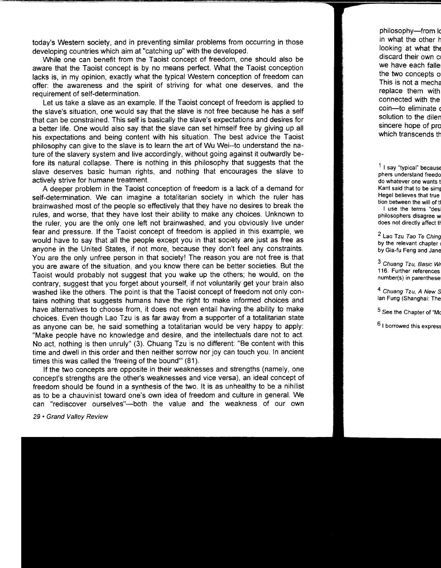today's Western society, and in preventing similar problems from occurring in those developing countries which aim at "catching up" with the developed.

While one can benefit from the Taoist concept of freedom, one should also be aware that the Taoist concept is by no means perfect. What the Taoist conception lacks is, in my opinion, exactly what the typical Western conception of freedom can offer: the awareness and the spirit of striving for what one deserves, and the requirement of self-determination.

Let us take a slave as an example. If the Taoist concept of freedom is applied to the slave's situation, one would say that the slave is not free because he has a self that can be constrained. This self is basically the slave's expectations and desires for a better life. One would also say that the slave can set himself free by giving up all his expectations and being content with his situation. The best advice the Taoist philosophy can give to the slave is to learn the art of Wu Wei--to understand the nature of the slavery system and live accordingly, without going against it outwardly before its natural collapse. There is nothing in this philosophy that suggests that the slave deserves basic human rights, and nothing that encourages the slave to actively strive for humane treatment.

A deeper problem in the Taoist conception of freedom is a lack of a demand for self-determination. We can imagine a totalitarian society in which the ruler has brainwashed most of the people so effectively that they have no desires to break the rules, and worse, that they have lost their ability to make any choices. Unknown to the ruler, you are the only one left not brainwashed, and you obviously live under fear and pressure. If the Taoist concept of freedom is applied in this example, we would have to say that all the people except you in that society are just as free as anyone in the United States, if not more, because they don't feel any constraints. You are the only unfree person in that society! The reason you are not free is that you are aware of the situation, and you know there can be better societies. But the Taoist would probably not suggest that you wake up the others; he would, on the contrary, suggest that you forget about yourself, if not voluntarily get your brain also washed like the others. The point is that the Taoist concept of freedom not only contains nothing that suggests humans have the right to make informed choices and have alternatives to choose from, it does not even entail having the ability to make choices. Even though Lao Tzu is as far away from a supporter of a totalitarian state as anyone can be, he said something a totalitarian would be very happy to apply: "Make people have no knowledge and desire, and the intellectuals dare not to act. No act, nothing is then unruly" (3). Chuang Tzu is no different: "Be content with this time and dwell in this order and then neither sorrow nor joy can touch you. In ancient times this was called the 'freeing of the bound"' (81 ).

If the two concepts are opposite in their weaknesses and strengths (namely, one concept's strengths are the other's weaknesses and vice versa}, an ideal concept of freedom should be found in a synthesis of the two. It is as unhealthy to be a nihilist as to be a chauvinist toward one's own idea of freedom and culture in general. We can "rediscover ourselves"—both the value and the weakness of our own